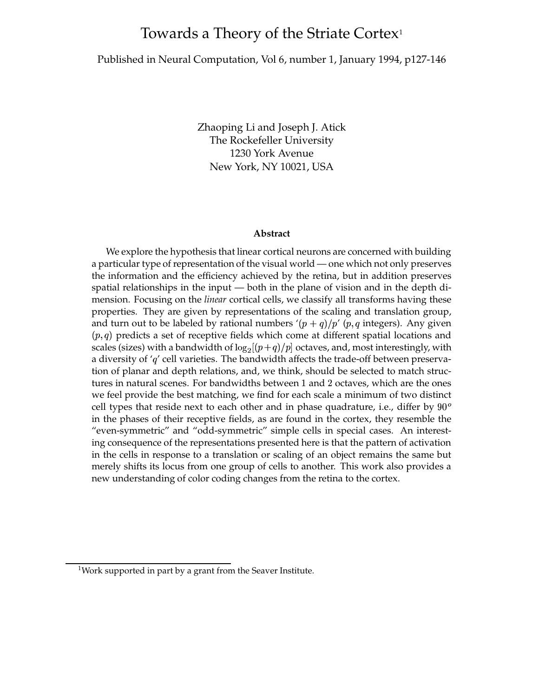# Towards a Theory of the Striate Cortex<sup>1</sup>

## Published in Neural Computation, Vol 6, number 1, January 1994, p127-146

Zhaoping Li and Joseph J. Atick The Rockefeller University 1230 York Avenue New York, NY 10021, USA

#### **Abstract**

We explore the hypothesis that linear cortical neurons are concerned with building a particular type of representation of the visual world — one which not only preserves the information and the efficiency achieved by the retina, but in addition preserves spatial relationships in the input — both in the plane of vision and in the depth dimension. Focusing on the *linear* cortical cells, we classify all transforms having these properties. They are given by representations of the scaling and translation group, and turn out to be labeled by rational numbers  $\langle (p+q)/p' \ (p,q \text{ integers})$ . Any given  $(p, q)$  predicts a set of receptive fields which come at different spatial locations and scales (sizes) with a bandwidth of  $\log_2[(p+q)/p]$  octaves, and, most interestingly, with a diversity of  $q'$  cell varieties. The bandwidth affects the trade-off between preservation of planar and depth relations, and, we think, should be selected to match structures in natural scenes. For bandwidths between 1 and 2 octaves, which are the ones we feel provide the best matching, we find for each scale a minimum of two distinct cell types that reside next to each other and in phase quadrature, i.e., differ by  $90^{\circ}$ in the phases of their receptive fields, as are found in the cortex, they resemble the "even-symmetric" and "odd-symmetric" simple cells in special cases. An interesting consequence of the representations presented here is that the pattern of activation in the cells in response to a translation or scaling of an object remains the same but merely shifts its locus from one group of cells to another. This work also provides a new understanding of color coding changes from the retina to the cortex.

<sup>&</sup>lt;sup>1</sup>Work supported in part by a grant from the Seaver Institute.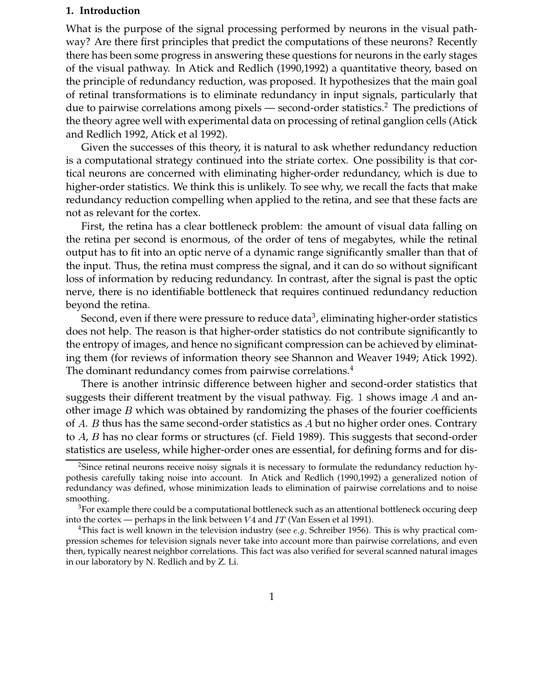## **1. Introduction**

What is the purpose of the signal processing performed by neurons in the visual pathway? Are there first principles that predict the computations of these neurons? Recently there has been some progress in answering these questions for neurons in the early stages of the visual pathway. In Atick and Redlich (1990,1992) a quantitative theory, based on the principle of redundancy reduction, was proposed. It hypothesizes that the main goal of retinal transformations is to eliminate redundancy in input signals, particularly that due to pairwise correlations among pixels — second-order statistics.<sup>2</sup> The predictions of the theory agree well with experimental data on processing of retinal ganglion cells (Atick and Redlich 1992, Atick et al 1992).

Given the successes of this theory, it is natural to ask whether redundancy reduction is a computational strategy continued into the striate cortex. One possibility is that cortical neurons are concerned with eliminating higher-order redundancy, which is due to higher-order statistics. We think this is unlikely. To see why, we recall the facts that make redundancy reduction compelling when applied to the retina, and see that these facts are not as relevant for the cortex.

First, the retina has a clear bottleneck problem: the amount of visual data falling on the retina per second is enormous, of the order of tens of megabytes, while the retinal output has to fit into an optic nerve of a dynamic range significantly smaller than that of the input. Thus, the retina must compress the signal, and it can do so without significant loss of information by reducing redundancy. In contrast, after the signal is past the optic nerve, there is no identifiable bottleneck that requires continued redundancy reduction beyond the retina.

Second, even if there were pressure to reduce data<sup>3</sup>, eliminating higher-order statistics does not help. The reason is that higher-order statistics do not contribute significantly to the entropy of images, and hence no significant compression can be achieved by eliminating them (for reviews of information theory see Shannon and Weaver 1949; Atick 1992). The dominant redundancy comes from pairwise correlations.<sup>4</sup>

There is another intrinsic difference between higher and second-order statistics that suggests their different treatment by the visual pathway. Fig. 1 shows image A and another image  $B$  which was obtained by randomizing the phases of the fourier coefficients of  $A$ .  $B$  thus has the same second-order statistics as  $A$  but no higher order ones. Contrary to  $A$ ,  $B$  has no clear forms or structures (cf. Field 1989). This suggests that second-order statistics are useless, while higher-order ones are essential, for defining forms and for dis-

<sup>2</sup>Since retinal neurons receive noisy signals it is necessary to formulate the redundancy reduction hypothesis carefully taking noise into account. In Atick and Redlich (1990,1992) a generalized notion of redundancy was defined, whose minimization leads to elimination of pairwise correlations and to noise smoothing.

 $3$ For example there could be a computational bottleneck such as an attentional bottleneck occuring deep into the cortex — perhaps in the link between  $V4$  and  $IT$  (Van Essen et al 1991).

<sup>&</sup>lt;sup>4</sup>This fact is well known in the television industry (see *e.g.* Schreiber 1956). This is why practical compression schemes for television signals never take into account more than pairwise correlations, and even then, typically nearest neighbor correlations. This fact was also verified for several scanned natural images in our laboratory by N. Redlich and by Z. Li.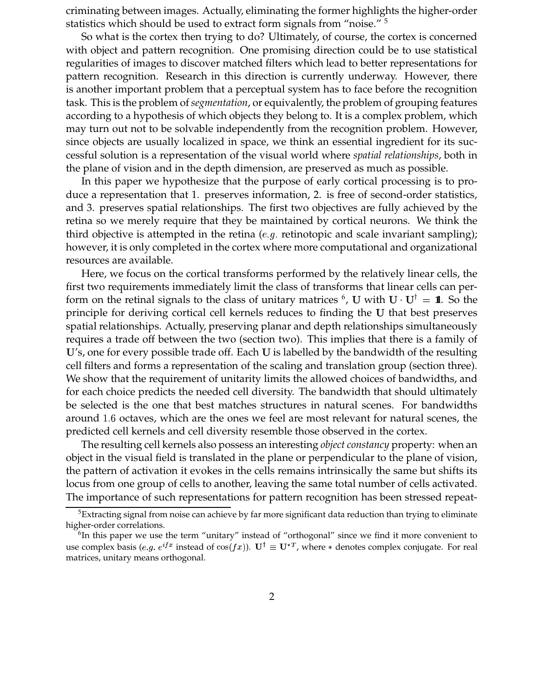criminating between images. Actually, eliminating the former highlights the higher-order statistics which should be used to extract form signals from "noise."<sup>5</sup>

So what is the cortex then trying to do? Ultimately, of course, the cortex is concerned with object and pattern recognition. One promising direction could be to use statistical regularities of images to discover matched filters which lead to better representations for pattern recognition. Research in this direction is currently underway. However, there is another important problem that a perceptual system has to face before the recognition task. This is the problem of*segmentation*, or equivalently, the problem of grouping features according to a hypothesis of which objects they belong to. It is a complex problem, which may turn out not to be solvable independently from the recognition problem. However, since objects are usually localized in space, we think an essential ingredient for its successful solution is a representation of the visual world where *spatial relationships*, both in the plane of vision and in the depth dimension, are preserved as much as possible.

In this paper we hypothesize that the purpose of early cortical processing is to produce a representation that 1. preserves information, 2. is free of second-order statistics, and 3. preserves spatial relationships. The first two objectives are fully achieved by the retina so we merely require that they be maintained by cortical neurons. We think the third objective is attempted in the retina (e.g. retinotopic and scale invariant sampling); however, it is only completed in the cortex where more computational and organizational resources are available.

Here, we focus on the cortical transforms performed by the relatively linear cells, the first two requirements immediately limit the class of transforms that linear cells can perform on the retinal signals to the class of unitary matrices  $^6$ , U with U $\cdot$  U<sup>†</sup> = 1. So the  $\blacksquare$  . The contract of the contract of the contract of the contract of the contract of the contract of the contract of the contract of the contract of the contract of the contract of the contract of the contract of the principle for deriving cortical cell kernels reduces to finding the U that best preserves spatial relationships. Actually, preserving planar and depth relationships simultaneously requires a trade off between the two (section two). This implies that there is a family of U's, one for every possible trade off. Each U is labelled by the bandwidth of the resulting cell filters and forms a representation of the scaling and translation group (section three). We show that the requirement of unitarity limits the allowed choices of bandwidths, and for each choice predicts the needed cell diversity. The bandwidth that should ultimately be selected is the one that best matches structures in natural scenes. For bandwidths around 1.6 octaves, which are the ones we feel are most relevant for natural scenes, the predicted cell kernels and cell diversity resemble those observed in the cortex.

The resulting cell kernels also possess an interesting *object constancy* property: when an object in the visual field is translated in the plane or perpendicular to the plane of vision, the pattern of activation it evokes in the cells remains intrinsically the same but shifts its locus from one group of cells to another, leaving the same total number of cells activated. The importance of such representations for pattern recognition has been stressed repeat-

 $5$ Extracting signal from noise can achieve by far more significant data reduction than trying to eliminate higher-order correlations.

<sup>&</sup>lt;sup>6</sup>In this paper we use the term "unitary" instead of "orthogonal" since we find it more convenient to use complex basis (e.g.  $e^{ifx}$  instead of  $cos(fx)$ ).  $\mathbf{U}^{\dagger} \equiv \mathbf{U}^{*T}$ , where  $*$  denotes complex conjugate. For real matrices, unitary means orthogonal.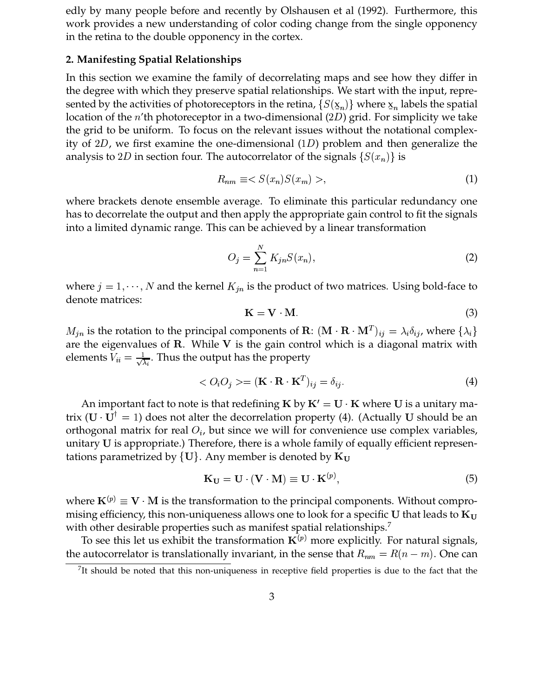edly by many people before and recently by Olshausen et al (1992). Furthermore, this work provides a new understanding of color coding change from the single opponency in the retina to the double opponency in the cortex.

# **2. Manifesting Spatial Relationships**

In this section we examine the family of decorrelating maps and see how they differ in the degree with which they preserve spatial relationships. We start with the input, represented by the activities of photoreceptors in the retina,  $\{S(\underline{x}_n)\}$  where  $\underline{x}_n$  labels the spatial  $\sum_{i=1}^{\infty} \frac{(-n_i)^2}{2n_i}$  and the  $n'$ th photoreceptor in a two-dimensional  $(2D)$  grid. For simplicity we take the grid to be uniform. To focus on the relevant issues without the notational complexity of  $2D$ , we first examine the one-dimensional  $(1D)$  problem and then generalize the analysis to 2D in section four. The autocorrelator of the signals  $\{S(x_n)\}$  is 

$$
R_{nm} \equiv \langle S(x_n)S(x_m) \rangle, \tag{1}
$$

where brackets denote ensemble average. To eliminate this particular redundancy one has to decorrelate the output and then apply the appropriate gain control to fit the signals into a limited dynamic range. This can be achieved by a linear transformation

$$
O_j = \sum_{n=1}^{N} K_{jn} S(x_n),
$$
 (2)

where  $j = 1, \dots, N$  and the kernel  $K_{in}$  is the product of two matrices. Using bold-face to denote matrices:

$$
K = V \cdot M. \tag{3}
$$

 $M_{in}$  is the rotation to the principal components of  $\mathbf{R}: (\mathbf{M} \cdot \mathbf{R} \cdot \mathbf{M}^T)_{ij} = \lambda_i \delta_{ij}$ , where  $\{\lambda_i\}$ are the eigenvalues of  $R$ . While  $V$  is the gain control which is a diagonal matrix with elements  $V_{ii} = \frac{1}{\sqrt{\lambda}}$ . Thus the output has the property

$$
\langle O_i O_j \rangle = (\mathbf{K} \cdot \mathbf{R} \cdot \mathbf{K}^T)_{ij} = \delta_{ij}.
$$
 (4)

An important fact to note is that redefining **K** by  $K' = U \cdot K$  where U is a unitary matrix ( $\mathbf{U} \cdot \mathbf{U}^{\dagger} = 1$ ) does not alter the decorrelation property (4). (Actually U should be an orthogonal matrix for real  $O_i$ , but since we will for convenience use complex variables, unitary  $U$  is appropriate.) Therefore, there is a whole family of equally efficient representations parametrized by  $\{U\}$ . Any member is denoted by  $K_U$ 

$$
\mathbf{K}_{\mathbf{U}} = \mathbf{U} \cdot (\mathbf{V} \cdot \mathbf{M}) \equiv \mathbf{U} \cdot \mathbf{K}^{(p)},\tag{5}
$$

where  ${\bf K}^{(p)}\equiv {\bf V}\cdot {\bf M}$  is the transformation to the principal components. Without compromising efficiency, this non-uniqueness allows one to look for a specific U that leads to  $K_U$ with other desirable properties such as manifest spatial relationships.<sup>7</sup>

To see this let us exhibit the transformation  $K^{(p)}$  more explicitly. For natural signals, the autocorrelator is translationally invariant, in the sense that  $R_{nm} = R(n - m)$ . One can

<sup>&</sup>lt;sup>7</sup>It should be noted that this non-uniqueness in receptive field properties is due to the fact that the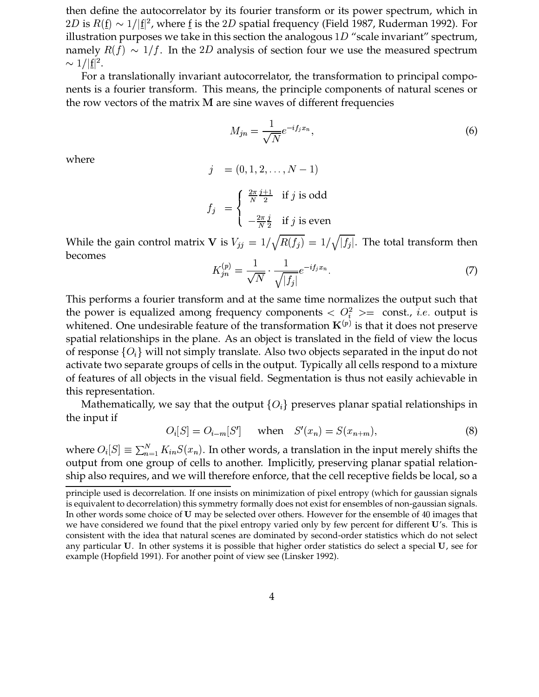then define the autocorrelator by its fourier transform or its power spectrum, which in  $2D$  is  $R(\underline{\mathrm{f}}) \sim 1/|\underline{\mathrm{f}}|^2$ , where  $\underline{\mathrm{f}}$  is the  $2D$  spatial frequency (Field 1987, Ruderman 1992). For  $\frac{1}{2}$  is  $\frac{1}{2}$ ,  $\frac{1}{2}$ ,  $\frac{1}{2}$ ,  $\frac{1}{2}$ ,  $\frac{1}{2}$ ,  $\frac{1}{2}$ ,  $\frac{1}{2}$ ,  $\frac{1}{2}$ ,  $\frac{1}{2}$ ,  $\frac{1}{2}$ ,  $\frac{1}{2}$ ,  $\frac{1}{2}$ ,  $\frac{1}{2}$ ,  $\frac{1}{2}$ ,  $\frac{1}{2}$ ,  $\frac{1}{2}$ ,  $\frac{1}{2}$ ,  $\frac{1}{2}$ ,  $\frac{1}{2}$ , namely  $R(f) \sim 1/f$ . In the 2D analysis of section four we use the measured spectrum  $\sim 1/|\underline{\mathrm{f}}|^2.$ 

/ |≗| ·<br>For a translationally invariant autocorrelator, the transformation to principal components is a fourier transform. This means, the principle components of natural scenes or the row vectors of the matrix  $M$  are sine waves of different frequencies

$$
M_{jn} = \frac{1}{\sqrt{N}} e^{-i f_j x_n},\tag{6}
$$

where

$$
j = (0, 1, 2, ..., N - 1)
$$
  

$$
f_j = \begin{cases} \frac{2\pi}{N} \frac{j+1}{2} & \text{if } j \text{ is odd} \\ -\frac{2\pi}{N} \frac{j}{2} & \text{if } j \text{ is even} \end{cases}
$$

While the gain control matrix V is  $V_{ij} = 1/\sqrt{R(f_i)} = 1/\sqrt{|f_i|}$ . The total transform then becomes

$$
K_{jn}^{(p)} = \frac{1}{\sqrt{N}} \cdot \frac{1}{\sqrt{|f_j|}} e^{-if_j x_n}.
$$
 (7)

This performs a fourier transform and at the same time normalizes the output such that the power is equalized among frequency components  $\langle O_i^2 \rangle$  = const., *i.e.* output is whitened. One undesirable feature of the transformation  $\mathbf{K}^{(p)}$  is that it does not preserve spatial relationships in the plane. As an object is translated in the field of view the locus of response  $\{O_i\}$  will not simply translate. Also two objects separated in the input do not activate two separate groups of cells in the output. Typically all cells respond to a mixture of features of all objects in the visual field. Segmentation is thus not easily achievable in this representation.

Mathematically, we say that the output  $\{O_i\}$  preserves planar spatial relationships in the input if

$$
O_i[S] = O_{i-m}[S'] \quad \text{when} \quad S'(x_n) = S(x_{n+m}), \tag{8}
$$

where  $O_i[S] \equiv \sum_{n=1}^{N} K_{in} S(x_n)$ . In other words, a translation in the input merely shifts the output from one group of cells to another. Implicitly, preserving planar spatial relationship also requires, and we will therefore enforce, that the cell receptive fields be local, so a

principle used is decorrelation. If one insists on minimization of pixel entropy (which for gaussian signals is equivalent to decorrelation) this symmetry formally does not exist for ensembles of non-gaussian signals. In other words some choice of  **may be selected over others. However for the ensemble of 40 images that** we have considered we found that the pixel entropy varied only by few percent for different  $\mathbf{U}'$ s. This is consistent with the idea that natural scenes are dominated by second-order statistics which do not select any particular U. In other systems it is possible that higher order statistics do select a special U, see for example (Hopfield 1991). For another point of view see (Linsker 1992).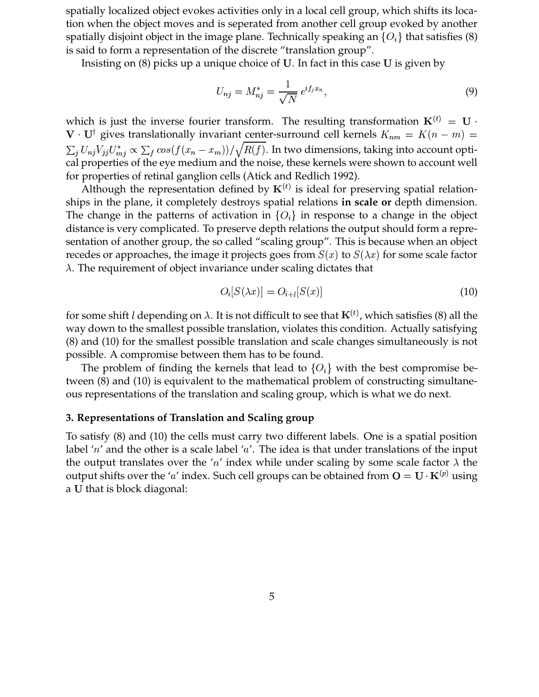spatially localized object evokes activities only in a local cell group, which shifts its location when the object moves and is seperated from another cell group evoked by another spatially disjoint object in the image plane. Technically speaking an  $\{O_i\}$  that satisfies (8) is said to form a representation of the discrete "translation group".

Insisting on  $(8)$  picks up a unique choice of U. In fact in this case U is given by

$$
U_{nj} = M_{nj}^* = \frac{1}{\sqrt{N}} e^{if_j x_n},\tag{9}
$$

which is just the inverse fourier transform. The resulting transformation  ${\bf K}^{(t)}\,=\,{\bf U}\,\cdot\,$ \_\_\_\_\_\_\_\_\_\_\_\_\_\_\_\_\_ <sup>†</sup> gives translationally invariant center-surround cell kernels  $K_{nm} = K(n-m) =$ cal properties of the eye medium and the noise, these kernels were shown to account well \_\_\_\_\_\_\_\_\_\_  $9.9999999999779999999$  $\sum_{j} U_{mj}^* \propto \sum_f \cos\left(f(x_n - x_m)\right)$  $\sum_{n=1}^{\infty} \frac{1}{n} \left( \frac{1}{n} \right) \left( \frac{1}{n} \right)$ . In two dimensions, taking into account optifor properties of retinal ganglion cells (Atick and Redlich 1992).

Although the representation defined by  $K^{(t)}$  is ideal for preserving spatial relationships in the plane, it completely destroys spatial relations **in scale or** depth dimension. The change in the patterns of activation in  $\{O_i\}$  in response to a change in the object distance is very complicated. To preserve depth relations the output should form a representation of another group, the so called "scaling group". This is because when an object recedes or approaches, the image it projects goes from  $S(x)$  to  $S(\lambda x)$  for some scale factor  $\lambda$ . The requirement of object invariance under scaling dictates that

$$
O_i[S(\lambda x)] = O_{i+l}[S(x)] \tag{10}
$$

for some shift *l* depending on  $\lambda$ . It is not difficult to see that  $\mathbf{K}^{(t)}$ , which satisfies (8) all the way down to the smallest possible translation, violates this condition. Actually satisfying (8) and (10) for the smallest possible translation and scale changes simultaneously is not possible. A compromise between them has to be found.

The problem of finding the kernels that lead to  $\{O_i\}$  with the best compromise between (8) and (10) is equivalent to the mathematical problem of constructing simultaneous representations of the translation and scaling group, which is what we do next.

# **3. Representations of Translation and Scaling group**

To satisfy (8) and (10) the cells must carry two different labels. One is a spatial position label ' $n'$  and the other is a scale label ' $a'$ . The idea is that under translations of the input the output translates over the 'n' index while under scaling by some scale factor  $\lambda$  the output shifts over the 'a' index. Such cell groups can be obtained from  $O = U \cdot K^{(p)}$  using the contract of the contract of the contract of the contract of the contract of the contract of the contract of a U that is block diagonal: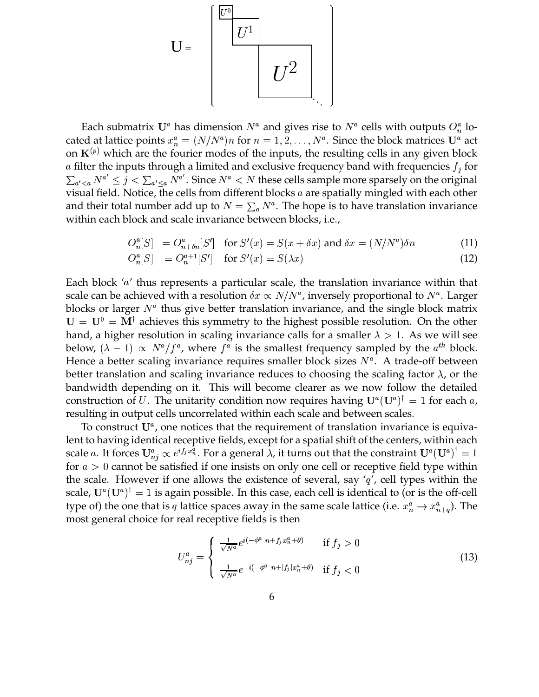

Each submatrix  $U^a$  has dimension  $N^a$  and gives rise to  $N^a$  cells with outputs  $O_n^a$  located at lattice points  $x_n^a = (N/N^a)n$  for  $n = 1, 2, ..., N^a$ . Since the block matrices  $\mathbf{U}^a$  act  $=(N/N^a)n$  for  $n=1,2,$ . )*n* for  $n = 1, 2, ..., N^a$ .  $, \ldots, N^a.$  Since the block matrices  $\mathbf{U}^a$  act on  $K^{(p)}$  which are the fourier modes of the inputs, the resulting cells in any given block a filter the inputs through a limited and exclusive frequency band with frequencies  $f_i$  for visual field. Notice, the cells from different blocks  $a$  are spatially mingled with each other  $N^{a'} \leq j < \sum_{a' \leq a} N^{a'}$ . Since  $N^a < N$  these cells sample more sparsely on the original and their total number add up to  $N = \sum_a N^a$ . The hope is to have translation invariance within each block and scale invariance between blocks, i.e.,

$$
O_n^a[S] = O_{n+\delta n}^a[S'] \text{ for } S'(x) = S(x+\delta x) \text{ and } \delta x = (N/N^a)\delta n \tag{11}
$$

$$
O_n^a[S] = O_n^{a+1}[S'] \quad \text{for } S'(x) = S(\lambda x) \tag{12}
$$

Each block  $'a'$  thus represents a particular scale, the translation invariance within that scale can be achieved with a resolution  $\delta x \propto N/N^a$ , inversely proportional to  $N^a$ . Larger blocks or larger  $N^a$  thus give better translation invariance, and the single block matrix  $= U^0 = M^{\dagger}$  achieves this symmetry to the highest possible resolution. On the other hand, a higher resolution in scaling invariance calls for a smaller  $\lambda > 1$ . As we will see below,  $(\lambda - 1) \propto N^a/f^a$ , where  $f^a$  is the smallest frequency sampled by the  $a^{th}$  block. Hence a better scaling invariance requires smaller block sizes  $N^a$ . A trade-off between better translation and scaling invariance reduces to choosing the scaling factor  $\lambda$ , or the bandwidth depending on it. This will become clearer as we now follow the detailed construction of U. The unitarity condition now requires having  $\mathbf{U}^a(\mathbf{U}^a)^{\dagger} = 1$  for each a, resulting in output cells uncorrelated within each scale and between scales.

To construct  $U^a$ , one notices that the requirement of translation invariance is equivalent to having identical receptive fields, except for a spatial shift of the centers, within each 2 scale a. It forces  $U_{ni}^a \propto e^{if_jx_n^{\bar{a}}}$ . For a general  $\lambda$ , it turns out that the constraint  $U^a(U^a)^{\dagger} = 1$ for  $a > 0$  cannot be satisfied if one insists on only one cell or receptive field type within the scale. However if one allows the existence of several, say  $q'$ , cell types within the scale,  $\mathbf{U}^a(\mathbf{U}^a)^{\dagger} = 1$  is again possible. In this case, each cell is identical to (or is the off-cell type of) the one that is q lattice spaces away in the same scale lattice (i.e.  $x_n^a \rightarrow x_{n+a}^a$ )  $_{n+q}^{a}$ ). The most general choice for real receptive fields is then

$$
U_{nj}^a = \begin{cases} \frac{1}{\sqrt{N^a}} e^{i(-\phi^a \ n + f_j x_n^a + \theta)} & \text{if } f_j > 0\\ \frac{1}{\sqrt{N^a}} e^{-i(-\phi^a \ n + |f_j| x_n^a + \theta)} & \text{if } f_j < 0 \end{cases}
$$
(13)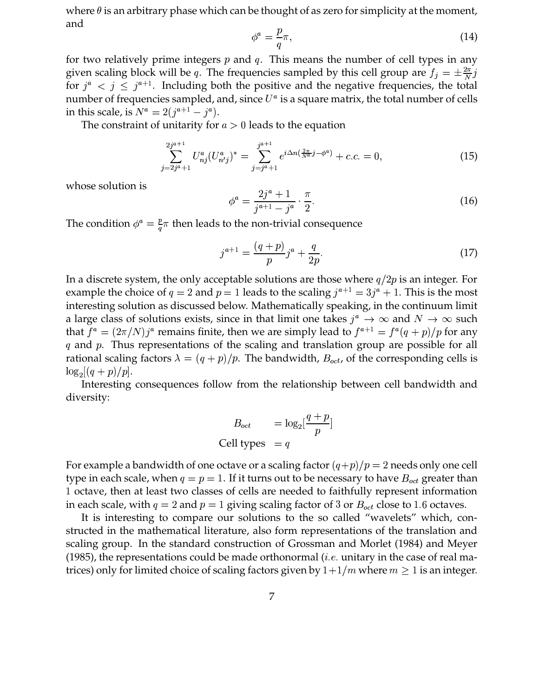where  $\theta$  is an arbitrary phase which can be thought of as zero for simplicity at the moment, and

$$
\phi^a = \frac{p}{q}\pi,\tag{14}
$$

for two relatively prime integers  $p$  and  $q$ . This means the number of cell types in any given scaling block will be q. The frequencies sampled by this cell group are  $f_j = \pm \frac{2\pi}{N} j$ for  $j^a$   $\lt j \leq j^{a+1}$ . Including both the positive and the negative frequencies, the total number of frequencies sampled, and, since  $U^a$  is a square matrix, the total number of cells in this scale, is  $N^a = 2(j^{a+1} - j^a)$ . .

The constraint of unitarity for  $a > 0$  leads to the equation

$$
\sum_{j=2j^a+1}^{2j^{a+1}} U_{nj}^a (U_{n'j}^a)^* = \sum_{j=j^a+1}^{j^{a+1}} e^{i\Delta n \left(\frac{2\pi}{N^a}j - \phi^a\right)} + c.c. = 0,
$$
\n(15)

whose solution is

$$
\phi^a = \frac{2j^a + 1}{j^{a+1} - j^a} \cdot \frac{\pi}{2}.
$$
\n(16)

The condition  $\phi^a = \frac{p}{a}\pi$  then leads to the non-trivial consequence

$$
j^{a+1} = \frac{(q+p)}{p} j^a + \frac{q}{2p}.\tag{17}
$$

In a discrete system, the only acceptable solutions are those where  $q/2p$  is an integer. For example the choice of  $q = 2$  and  $p = 1$  leads to the scaling  $j^{a+1} = 3j^a + 1$ . This is the most interesting solution as discussed below. Mathematically speaking, in the continuum limit a large class of solutions exists, since in that limit one takes  $j^a \to \infty$  and  $N \to \infty$  such that  $f^a = (2\pi/N)j^a$  remains finite, then we are simply lead to  $f^{a+1} = f^a(q+p)/p$  for any q and p. Thus representations of the scaling and translation group are possible for all rational scaling factors  $\lambda = (q+p)/p$ . The bandwidth,  $B_{oct}$ , of the corre  $<sub>t</sub>$ , of the corresponding cells is</sub>  $\log_2[(q+p)/p].$ 

Interesting consequences follow from the relationship between cell bandwidth and diversity:

$$
B_{oct} = \log_2[\frac{q+p}{p}]
$$
  
Cell types = q

For example a bandwidth of one octave or a scaling factor  $(q+p)/p = 2$  needs only one cell type in each scale, when  $q = p = 1$ . If it turns out to be necessary to have  $B_{oct}$  greater than octave, then at least two classes of cells are needed to faithfully represent information  $_t$  greater than in each scale, with  $q = 2$  and  $p = 1$  giving scaling factor of 3 or  $B_{oct}$  close to 1.6  $_t$  close to 1.6 octaves.

 It is interesting to compare our solutions to the so called "wavelets" which, constructed in the mathematical literature, also form representations of the translation and scaling group. In the standard construction of Grossman and Morlet (1984) and Meyer (1985), the representations could be made orthonormal (*i.e.* unitary in the case of real matrices) only for limited choice of scaling factors given by  $1+1/m$  where  $m\geq 1$  is an integer.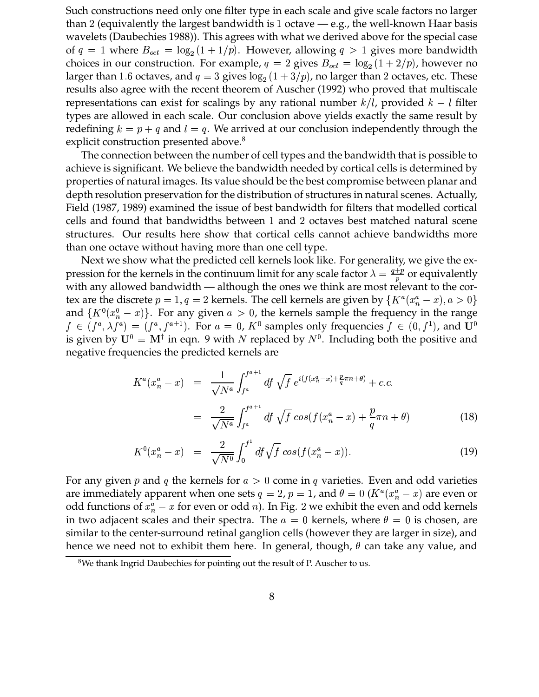Such constructions need only one filter type in each scale and give scale factors no larger than 2 (equivalently the largest bandwidth is 1 octave — e.g., the well-known Haar basis wavelets (Daubechies 1988)). This agrees with what we derived above for the special case of  $q = 1$  where  $B_{oct} = \log_2(1 + 1/p)$ . However, allowing  $q > 1$  gives more bandwidth choices in our construction. For example,  $q = 2$  gives  $B_{oct} = \log_2(1 + 2/p)$ , however larger than 1.6 octaves, and  $q = 3$  gives  $log_2(1 + 3/p)$ , no larger than 2 octaves, etc. These  $2/p$ ), however no results also agree with the recent theorem of Auscher (1992) who proved that multiscale representations can exist for scalings by any rational number  $k/l$ , provided  $k-l$  filter types are allowed in each scale. Our conclusion above yields exactly the same result by redefining  $k = p + q$  and  $l = q$ . We arrived at our conclusion independently through the explicit construction presented above.<sup>8</sup>

The connection between the number of cell types and the bandwidth that is possible to achieve is significant. We believe the bandwidth needed by cortical cells is determined by properties of natural images. Its value should be the best compromise between planar and depth resolution preservation for the distribution of structures in natural scenes. Actually, Field (1987, 1989) examined the issue of best bandwidth for filters that modelled cortical cells and found that bandwidths between 1 and 2 octaves best matched natural scene structures. Our results here show that cortical cells cannot achieve bandwidths more than one octave without having more than one cell type.

Next we show what the predicted cell kernels look like. For generality, we give the expression for the kernels in the continuum limit for any scale factor  $\lambda = \frac{q+p}{n}$  or equivalently with any allowed bandwidth — although the ones we think are most relevant to the cortex are the discrete  $p = 1, q = 2$  kernels. The cell kernels are given by  $\{K^a(x_n^a - x), a > 0\}$ and  $\{K^0(x_n^0 - x)\}\$ . For any given  $a > 0$ , the kernels sample the frequency in the range  $x) \ldotp a > 0$  $f \in (f^a, \lambda f^a) = (f^a, f^{a+1}).$  $(a) = (f^a, f^{a+1})$ . F " ). For  $a = 0$ ,  $K^0$  samples only frequencies  $f \in (0, f^1)$ , and  $\mathbf{U}^0$ " ), and  $\mathbf{U}^0$ is given by  $U^0 = M^{\dagger}$  in eqn. 9 with N replaced by  $N^0$ . Including both the positive and negative frequencies the predicted kernels are

$$
K^{a}(x_{n}^{a}-x) = \frac{1}{\sqrt{N^{a}}} \int_{f^{a}}^{f^{a+1}} df \sqrt{f} e^{i(f(x_{n}^{a}-x)+\frac{p}{q}\pi n+\theta)} + c.c.
$$
  

$$
= \frac{2}{\sqrt{N^{a}}} \int_{f^{a}}^{f^{a+1}} df \sqrt{f} cos(f(x_{n}^{a}-x)+\frac{p}{q}\pi n+\theta)
$$
(18)

$$
K^{0}(x_{n}^{a}-x) = \frac{2}{\sqrt{N^{0}}} \int_{0}^{f^{1}} df \sqrt{f} \cos(f(x_{n}^{a}-x)).
$$
\n(19)

For any given p and q the kernels for  $a > 0$  come in q varieties. Even and odd varieties are immediately apparent when one sets  $q = 2$ ,  $p = 1$ , and  $\theta = 0$  ( $K^a(x_n^a - x)$  are even or odd functions of  $x_n^a - x$  for even or odd *n*). In Fig. 2 we exhibit the even and odd kerne  $x$  for even or odd  $n$ ). In Fig. 2 we exhibit the even and odd kernels in two adjacent scales and their spectra. The  $a = 0$  kernels, where  $\theta = 0$  is chosen, are similar to the center-surround retinal ganglion cells (however they are larger in size), and hence we need not to exhibit them here. In general, though,  $\theta$  can take any value, and

<sup>&</sup>lt;sup>8</sup>We thank Ingrid Daubechies for pointing out the result of P. Auscher to us.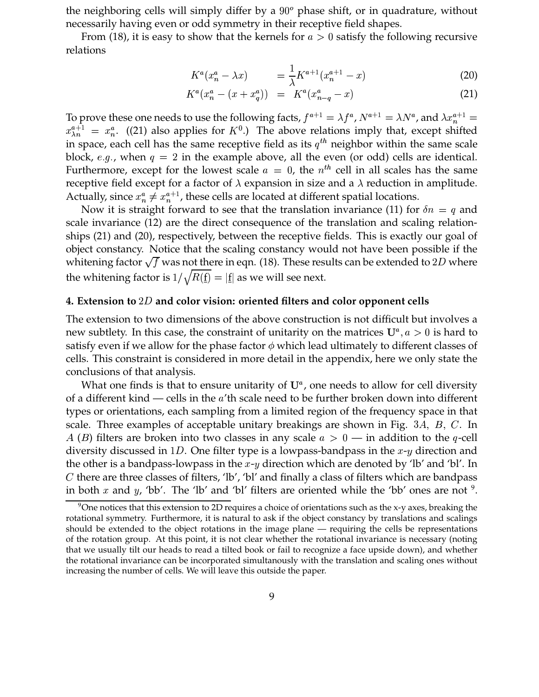the neighboring cells will simply differ by a  $90^{\circ}$  phase shift, or in quadrature, without necessarily having even or odd symmetry in their receptive field shapes.

From (18), it is easy to show that the kernels for  $a > 0$  satisfy the following recursive relations

$$
K^{a}(x_{n}^{a}-\lambda x) = \frac{1}{\lambda}K^{a+1}(x_{n}^{a+1}-x)
$$
 (20)

$$
K^{a}(x_{n}^{a} - (x + x_{q}^{a})) = K^{a}(x_{n-q}^{a} - x)
$$
\n(21)

To prove these one needs to use the following facts,  $f^{a+1} = \lambda f^a$ ,  $N^{a+1} = \lambda N^a$ , and  $\lambda x_n^{a+1} = \lambda x_n^{a+1}$  $a+1$  ((0.1) 1 (7.1) TH 1 1 (1.1) (1.1) (1.1)  $\alpha_n^{a+1} = x_n^a$ . ((21) als . . . . . . . . . . .  $\frac{a}{n}$ . ((21) also applies for  $K^0$ .) The above relations imply that, except shifted in space, each cell has the same receptive field as its  $q^{th}$  neighbor within the same scale block, e.g., when  $q = 2$  in the example above, all the even (or odd) cells are identical. Furthermore, except for the lowest scale  $a = 0$ , the  $n^{th}$  cell in all scales has the same receptive field except for a factor of  $\lambda$  expansion in size and a  $\lambda$  reduction in amplitude. Actually, since  $x_n^a \neq x_n^{a+1}$ , t the contract of the state of the contract of the con- $_n^{a+1}$ , these cells are located at different spatial locations.

Now it is straight forward to see that the translation invariance (11) for  $\delta n = q$  and scale invariance (12) are the direct consequence of the translation and scaling relationships (21) and (20), respectively, between the receptive fields. This is exactly our goal of object constancy. Notice that the scaling constancy would not have been possible if the whitening factor  $\sqrt{f}$  was not there in eqn. (18). These results can be extended to 2D where the whitening factor is  $1/\sqrt{R(f)} =$ ¯  $\mathbf{f} = \left| \underline{\mathbf{f}} \right|$  as we will  $\underline{\mathrm{f}}$  as we will see next.

# **4. Extension to and color vision: oriented filters and color opponent cells**

The extension to two dimensions of the above construction is not difficult but involves a new subtlety. In this case, the constraint of unitarity on the matrices  $U^a$ ,  $a>0$  $i,a>0$  is hard to satisfy even if we allow for the phase factor  $\phi$  which lead ultimately to different classes of cells. This constraint is considered in more detail in the appendix, here we only state the conclusions of that analysis.

What one finds is that to ensure unitarity of  $U^a$ , one needs to allow for cell diversity of a different kind — cells in the  $a'$ th scale need to be further broken down into different types or orientations, each sampling from a limited region of the frequency space in that scale. Three examples of acceptable unitary breakings are shown in Fig.  $3A$ ,  $B$ ,  $C$ . In  $, \; C.$  In A (B) filters are broken into two classes in any scale  $a > 0$  — in addition to the q-cell diversity discussed in 1D. One filter type is a lowpass-bandpass in the  $x-y$  direction and the other is a bandpass-lowpass in the  $x$ - $y$  direction which are denoted by 'lb' and 'bl'. In  $C$  there are three classes of filters, 'lb', 'bl' and finally a class of filters which are bandpass in both x and y, 'bb'. The 'lb' and 'bl' filters are oriented while the 'bb' ones are not  $9$ .

<sup>&</sup>lt;sup>9</sup>One notices that this extension to 2D requires a choice of orientations such as the x-y axes, breaking the rotational symmetry. Furthermore, it is natural to ask if the object constancy by translations and scalings should be extended to the object rotations in the image plane — requiring the cells be representations of the rotation group. At this point, it is not clear whether the rotational invariance is necessary (noting that we usually tilt our heads to read a tilted book or fail to recognize a face upside down), and whether the rotational invariance can be incorporated simultanously with the translation and scaling ones without increasing the number of cells. We will leave this outside the paper.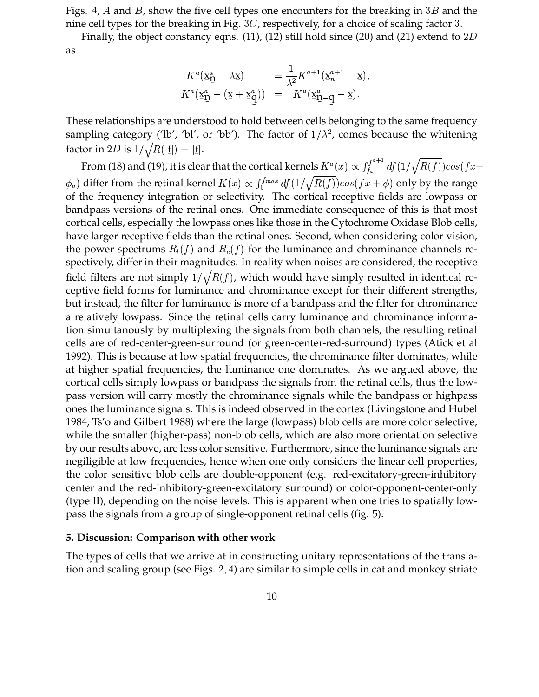Figs. 4,  $A$  and  $B$ , show the five cell types one encounters for the breaking in  $3B$  and the nine cell types for the breaking in Fig.  $3C$ , respectively, for a choice of scaling factor 3.

Finally, the object constancy eqns. (11), (12) still hold since (20) and (21) extend to  $2D$ as

$$
K^a(\underline{x}_{\underline{\mathbf{q}}}^a - \lambda \underline{x}) = \frac{1}{\lambda^2} K^{a+1}(\underline{x}_n^{a+1} - \underline{x}),
$$
  

$$
K^a(\underline{x}_{\underline{\mathbf{q}}}^a - (\underline{x} + \underline{x}_{\underline{\mathbf{q}}}^a)) = K^a(\underline{x}_{\underline{\mathbf{q}}}^a - \underline{q} - \underline{x}).
$$

These relationships are understood to hold between cells belonging to the same frequency sampling category ('lb', 'bl', or 'bb'). The factor of  $1/\lambda^2$ , comes because the whitening factor in 2D is  $1/\sqrt{R(|\underline{\mathbf{f}}|)} = |\underline{\mathbf{f}}|.$ 

¯ ¯ From (18) and (19), it is clear that the cortical kernels  $K^a(x) \propto \int_{t_a}^{T^{a+1}} df(1/\tau)$  $(r) \propto \int_1^{f^{a+1}} df(1/\sqrt{R(f)}) \cos(f \tau +$  of the frequency integration or selectivity. The cortical receptive fields are lowpass or ) differ from the retinal kernel  $K(x) \propto \int_0^{f_{max}} df(1/\sqrt{R(f)}) cos(fx + \phi)$  only by the range bandpass versions of the retinal ones. One immediate consequence of this is that most cortical cells, especially the lowpass ones like those in the Cytochrome Oxidase Blob cells, have larger receptive fields than the retinal ones. Second, when considering color vision, the power spectrums  $R_l(f)$  and  $R_c(f)$  for the luminance and chrominance channels re spectively, differ in their magnitudes. In reality when noises are considered, the receptive field filters are not simply  $1/\sqrt{R(f)}$ , which would have simply resulted in identical receptive field forms for luminance and chrominance except for their different strengths, but instead, the filter for luminance is more of a bandpass and the filter for chrominance a relatively lowpass. Since the retinal cells carry luminance and chrominance information simultanously by multiplexing the signals from both channels, the resulting retinal cells are of red-center-green-surround (or green-center-red-surround) types (Atick et al 1992). This is because at low spatial frequencies, the chrominance filter dominates, while at higher spatial frequencies, the luminance one dominates. As we argued above, the cortical cells simply lowpass or bandpass the signals from the retinal cells, thus the lowpass version will carry mostly the chrominance signals while the bandpass or highpass ones the luminance signals. This is indeed observed in the cortex (Livingstone and Hubel 1984, Ts'o and Gilbert 1988) where the large (lowpass) blob cells are more color selective, while the smaller (higher-pass) non-blob cells, which are also more orientation selective by our results above, are less color sensitive. Furthermore, since the luminance signals are negiligible at low frequencies, hence when one only considers the linear cell properties, the color sensitive blob cells are double-opponent (e.g. red-excitatory-green-inhibitory center and the red-inhibitory-green-excitatory surround) or color-opponent-center-only (type II), depending on the noise levels. This is apparent when one tries to spatially lowpass the signals from a group of single-opponent retinal cells (fig. 5).

# **5. Discussion: Comparison with other work**

The types of cells that we arrive at in constructing unitary representations of the translation and scaling group (see Figs. 2, 4) are s ) are similar to simple cells in cat and monkey striate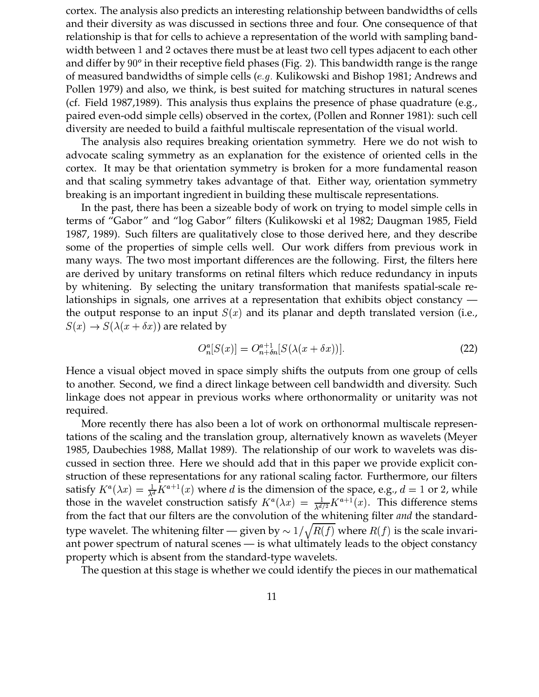cortex. The analysis also predicts an interesting relationship between bandwidths of cells and their diversity as was discussed in sections three and four. One consequence of that relationship is that for cells to achieve a representation of the world with sampling bandwidth between 1 and 2 octaves there must be at least two cell types adjacent to each other and differ by  $90^o$  in their receptive field phases (Fig. 2). This bandwidth range is the range of measured bandwidths of simple cells ( $e.g.$  Kulikowski and Bishop 1981; Andrews and Pollen 1979) and also, we think, is best suited for matching structures in natural scenes (cf. Field 1987,1989). This analysis thus explains the presence of phase quadrature (e.g., paired even-odd simple cells) observed in the cortex, (Pollen and Ronner 1981): such cell diversity are needed to build a faithful multiscale representation of the visual world.

The analysis also requires breaking orientation symmetry. Here we do not wish to advocate scaling symmetry as an explanation for the existence of oriented cells in the cortex. It may be that orientation symmetry is broken for a more fundamental reason and that scaling symmetry takes advantage of that. Either way, orientation symmetry breaking is an important ingredient in building these multiscale representations.

In the past, there has been a sizeable body of work on trying to model simple cells in terms of "Gabor" and "log Gabor" filters (Kulikowski et al 1982; Daugman 1985, Field 1987, 1989). Such filters are qualitatively close to those derived here, and they describe some of the properties of simple cells well. Our work differs from previous work in many ways. The two most important differences are the following. First, the filters here are derived by unitary transforms on retinal filters which reduce redundancy in inputs by whitening. By selecting the unitary transformation that manifests spatial-scale relationships in signals, one arrives at a representation that exhibits object constancy the output response to an input  $S(x)$  and its planar and depth translated version (i.e., #  $S(x) \to S(\lambda(x + \delta x))$  are related by

$$
O_n^a[S(x)] = O_{n+\delta n}^{a+1}[S(\lambda(x+\delta x))].
$$
\n(22)

Hence a visual object moved in space simply shifts the outputs from one group of cells to another. Second, we find a direct linkage between cell bandwidth and diversity. Such linkage does not appear in previous works where orthonormality or unitarity was not required.

More recently there has also been a lot of work on orthonormal multiscale representations of the scaling and the translation group, alternatively known as wavelets (Meyer 1985, Daubechies 1988, Mallat 1989). The relationship of our work to wavelets was discussed in section three. Here we should add that in this paper we provide explicit construction of these representations for any rational scaling factor. Furthermore, our filters satisfy  $K^a(\lambda x) = \frac{1}{\lambda^d} K^{a+1}(\lambda)$  $(\lambda x) = \frac{1}{\lambda^d} K^{a+1}(x)$  where d is the dimension of the space, e.g.,  $d = 1$  or 2, while those in the wavelet construction satisfy  $K^a(\lambda x) = \frac{1}{\lambda d/2} K^{a+1}$ 4 March 2014 - Andrea March 2014 - Andrea March 2014 - Andrea March 2014 - Andrea March 2014 - Andrea March 20  $\frac{1}{\lambda d/2} K^{a+1}(x)$ . This difference stems from the fact that our filters are the convolution of the whitening filter *and* the standardtype wavelet. The whitening filter — given by  $\sim 1/\sqrt{R(f)}$  where  $R(f)$  is the scale invariant power spectrum of natural scenes — is what ultimately leads to the object constancy property which is absent from the standard-type wavelets.

The question at this stage is whether we could identify the pieces in our mathematical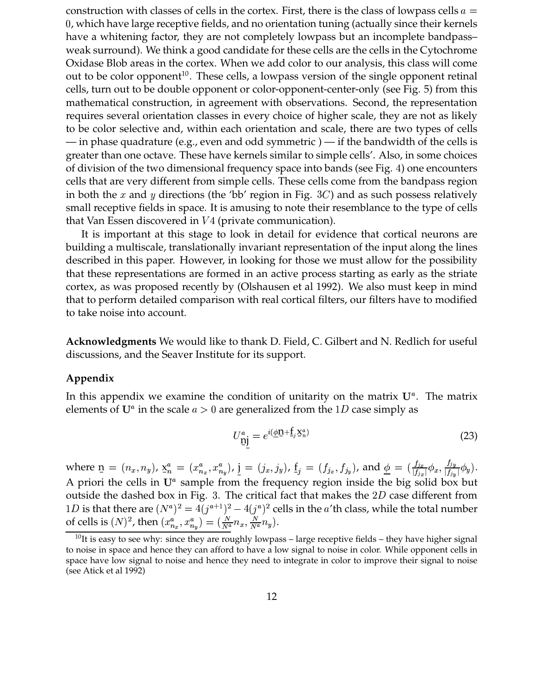construction with classes of cells in the cortex. First, there is the class of lowpass cells  $a =$  , which have large receptive fields, and no orientation tuning (actually since their kernels have a whitening factor, they are not completely lowpass but an incomplete bandpass– weak surround). We think a good candidate for these cells are the cells in the Cytochrome Oxidase Blob areas in the cortex. When we add color to our analysis, this class will come out to be color opponent<sup>10</sup>. These cells, a lowpass version of the single opponent retinal cells, turn out to be double opponent or color-opponent-center-only (see Fig. 5) from this mathematical construction, in agreement with observations. Second, the representation requires several orientation classes in every choice of higher scale, they are not as likely to be color selective and, within each orientation and scale, there are two types of cells — in phase quadrature (e.g., even and odd symmetric ) — if the bandwidth of the cells is greater than one octave. These have kernels similar to simple cells'. Also, in some choices of division of the two dimensional frequency space into bands (see Fig. ) one encounters cells that are very different from simple cells. These cells come from the bandpass region in both the  $x$  and  $y$  directions (the 'bb' region in Fig. 3C) and as such possess relatively small receptive fields in space. It is amusing to note their resemblance to the type of cells that Van Essen discovered in V4 (private communication).

It is important at this stage to look in detail for evidence that cortical neurons are building a multiscale, translationally invariant representation of the input along the lines described in this paper. However, in looking for those we must allow for the possibility that these representations are formed in an active process starting as early as the striate cortex, as was proposed recently by (Olshausen et al 1992). We also must keep in mind that to perform detailed comparison with real cortical filters, our filters have to modified to take noise into account.

**Acknowledgments** We would like to thank D. Field, C. Gilbert and N. Redlich for useful discussions, and the Seaver Institute for its support.

# **Appendix**

In this appendix we examine the condition of unitarity on the matrix  $U^a$ . The matrix elements of  $U^a$  in the scale  $a > 0$  are generalized from the 1D case simply as

$$
U_{\underline{\mathbf{n}}\underline{\mathbf{j}}}^a = e^{i(\underline{\phi}\underline{\mathbf{n}} + \underline{\mathbf{f}}_j \underline{\mathbf{x}}_n^a)}
$$
(23)

where  $\underline{\mathbf{n}} = (n_x, n_y)$ ,  $\underline{\mathbf{x}}_n^a =$  $\mathbf{r}$   $\mathbf{r}$ A priori the cells in  $U^a$  sample from the frequency region inside the big solid box but  $=(x_n^a, x_n^a)$ ,  $i=(x_n^a, x_n^a)$  $n_{\rm *}$ ,  $\prime\prime$  1 ),  $\underline{\mathbf{j}} = (j_x, j_y)$ ,  $\underline{\mathbf{f}}_j = (f_{j_x}, f_{j_y})$ , and<br> $\underline{\mathbf{m}}$  the frequency region inside ), and  $\phi = (\frac{f_{jx}}{|f_{i}|}\phi_{x}, \frac{f_{jy}}{|f_{i}|}|}\phi_{y})$  $\frac{f_{jx}}{f_{jy}}\phi_{x}, \frac{f_{jy}}{g_{jy}}\phi_{y}$   $(\phi_y)$ . outside the dashed box in Fig. 3. The critical fact that makes the  $2D$  case different from  $1D$  is that there are  $(N^a)^2 = 4(j^{a+1})^2 - 4$  $)^{2} = 4(j^{a+1})^{2} - 4(j^{a})^{2}$  $)^{2}-4(j^{a})^{2}$  cells i  $)^2$  cells in the  $a^\prime$ th class, while the total number of cells is  $(N)^2$ , then  $(x_{n_x}^a, x_{n_y}^a) = (\frac{N}{N^a}n)$  $T_{\rm tot}$ ,  $T_{\rm tot}$  ,  $T_{\rm t}$  $) = (\frac{N}{Ng} n_x, \frac{N}{Ng} n_y).$  $x, \frac{N}{N^a}n_y$ .

 $10$ It is easy to see why: since they are roughly lowpass – large receptive fields – they have higher signal to noise in space and hence they can afford to have a low signal to noise in color. While opponent cells in space have low signal to noise and hence they need to integrate in color to improve their signal to noise (see Atick et al 1992)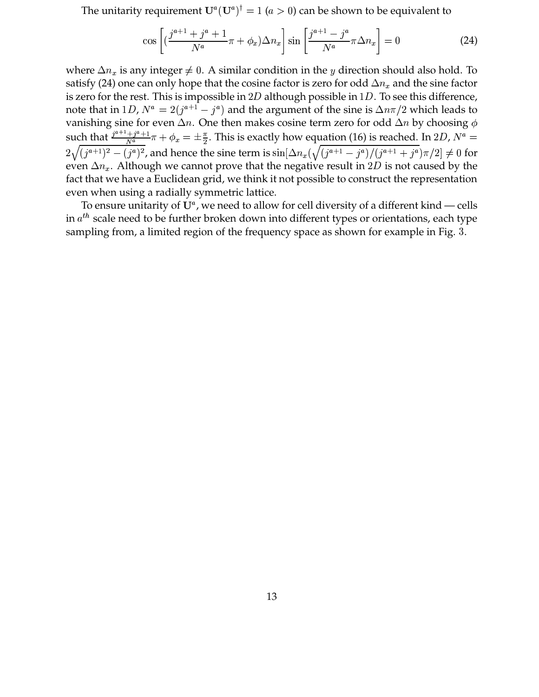The unitarity requirement  $\mathbf{U}^a(\mathbf{U}^a)^\dagger = 1^ ( t )^{\dagger} = 1$   $( a > 0 )$  can be shown to be equivalent to

$$
\cos\left[\left(\frac{j^{a+1}+j^a+1}{N^a}\pi+\phi_x\right)\Delta n_x\right]\sin\left[\frac{j^{a+1}-j^a}{N^a}\pi\Delta n_x\right]=0\tag{24}
$$

where  $\Delta n_x$  is any intege x is any integer  $\neq 0$ . A similar condition in the y direction should also hold. To satisfy (24) one can only hope that the cosine factor is zero for odd  $\Delta n_{x}$  and the sine  $_x$  and the sine factor is zero for the rest. This is impossible in  $2D$  although possible in  $1D$ . To see this difference, note that in 1D,  $N^a = 2(j^{a+1} - j^a)$  and the ) and the argument of the sine is  $\Delta n\pi/2$  which leads to vanishing sine for even  $\Delta n$ . One then makes cosine term zero for odd  $\Delta n$  by choosing  $\phi$ such that  $\frac{j^{a+1}+j^a+1}{N^a}\pi + \phi_x = \pm \frac{\pi}{2}$ . This is exactly how equation (16) is reached. In 2D,  $N^a =$  $2\sqrt{(j^{a+1})^2} - (j^{a+1})^2$  $)^{2}-(j^{a})^{2}$ , and ho )<sup>2</sup>, and hence the sine term is  $\sin[\Delta n_x(\sqrt{(j^{a+1}-j^a)}/(j^{a+1}$  $)/ (j^{a+1} + j^a)\pi/2 \rvert \neq 0$  for  $\pi/2 \neq 0$  for  $]\neq 0$  for even  $\Delta n_{x}$ . Although v  $_x$ . Although we cannot prove that the negative result in 2D is not caused by the fact that we have a Euclidean grid, we think it not possible to construct the representation even when using a radially symmetric lattice.

To ensure unitarity of  $\mathrm{U}^a$ , we need to allow for cell diversity of a different kind — cells in  $a^{th}$  scale need to be further broken down into different types or orientations, each type sampling from, a limited region of the frequency space as shown for example in Fig. .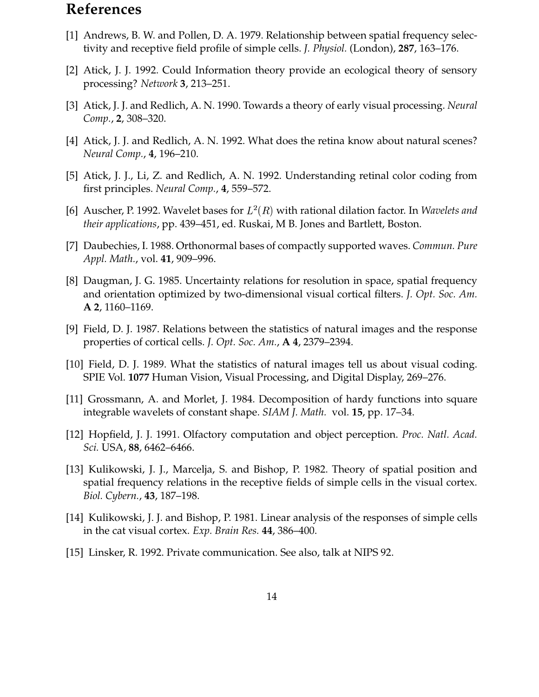# **References**

- [1] Andrews, B. W. and Pollen, D. A. 1979. Relationship between spatial frequency selectivity and receptive field profile of simple cells. *J. Physiol.* (London), **287**, 163–176.
- [2] Atick, J. J. 1992. Could Information theory provide an ecological theory of sensory processing? *Network* **3**, 213–251.
- [3] Atick, J. J. and Redlich, A. N. 1990. Towards a theory of early visual processing. *Neural Comp.*, **2**, 308–320.
- [4] Atick, J. J. and Redlich, A. N. 1992. What does the retina know about natural scenes? *Neural Comp.*, **4**, 196–210.
- [5] Atick, J. J., Li, Z. and Redlich, A. N. 1992. Understanding retinal color coding from first principles. *Neural Comp.*, **4**, 559–572.
- [6] Auscher, P. 1992. Wavelet bases for  $L^2(R)$  with rational dilation factor. In *Wavelets and their applications*, pp. 439–451, ed. Ruskai, M B. Jones and Bartlett, Boston.
- [7] Daubechies, I. 1988. Orthonormal bases of compactly supported waves. *Commun. Pure Appl. Math.*, vol. **41**, 909–996.
- [8] Daugman, J. G. 1985. Uncertainty relations for resolution in space, spatial frequency and orientation optimized by two-dimensional visual cortical filters. *J. Opt. Soc. Am.* **A 2**, 1160–1169.
- [9] Field, D. J. 1987. Relations between the statistics of natural images and the response properties of cortical cells. *J. Opt. Soc. Am.*, **A 4**, 2379–2394.
- [10] Field, D. J. 1989. What the statistics of natural images tell us about visual coding. SPIE Vol. **1077** Human Vision, Visual Processing, and Digital Display, 269–276.
- [11] Grossmann, A. and Morlet, J. 1984. Decomposition of hardy functions into square integrable wavelets of constant shape. *SIAM J. Math.* vol. **15**, pp. 17–34.
- [12] Hopfield, J. J. 1991. Olfactory computation and object perception. *Proc. Natl. Acad. Sci.* USA, **88**, 6462–6466.
- [13] Kulikowski, J. J., Marcelja, S. and Bishop, P. 1982. Theory of spatial position and spatial frequency relations in the receptive fields of simple cells in the visual cortex. *Biol. Cybern.*, **43**, 187–198.
- [14] Kulikowski, J. J. and Bishop, P. 1981. Linear analysis of the responses of simple cells in the cat visual cortex. *Exp. Brain Res.* **44**, 386–400.
- [15] Linsker, R. 1992. Private communication. See also, talk at NIPS 92.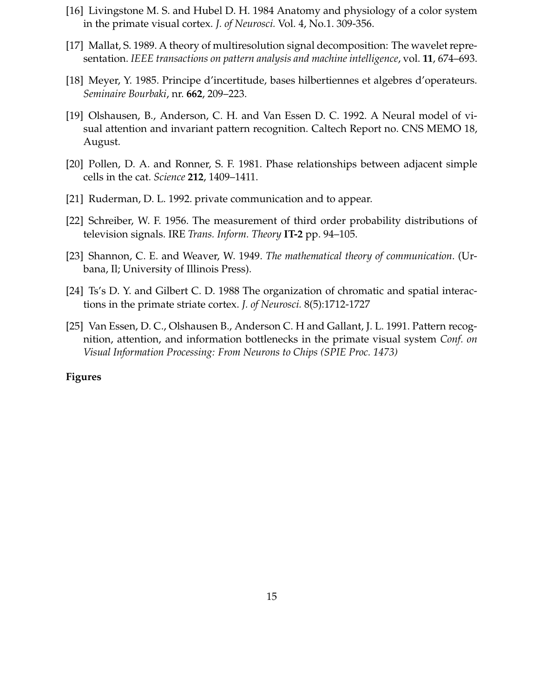- [16] Livingstone M. S. and Hubel D. H. 1984 Anatomy and physiology of a color system in the primate visual cortex. *J. of Neurosci.* Vol. 4, No.1. 309-356.
- [17] Mallat, S. 1989. A theory of multiresolution signal decomposition: The wavelet representation. *IEEE transactions on pattern analysis and machine intelligence*, vol. **11**, 674–693.
- [18] Meyer, Y. 1985. Principe d'incertitude, bases hilbertiennes et algebres d'operateurs. *Seminaire Bourbaki*, nr. **662**, 209–223.
- [19] Olshausen, B., Anderson, C. H. and Van Essen D. C. 1992. A Neural model of visual attention and invariant pattern recognition. Caltech Report no. CNS MEMO 18, August.
- [20] Pollen, D. A. and Ronner, S. F. 1981. Phase relationships between adjacent simple cells in the cat. *Science* **212**, 1409–1411.
- [21] Ruderman, D. L. 1992. private communication and to appear.
- [22] Schreiber, W. F. 1956. The measurement of third order probability distributions of television signals. IRE *Trans. Inform. Theory* **IT-2** pp. 94–105.
- [23] Shannon, C. E. and Weaver, W. 1949. *The mathematical theory of communication*. (Urbana, Il; University of Illinois Press).
- [24] Ts's D. Y. and Gilbert C. D. 1988 The organization of chromatic and spatial interactions in the primate striate cortex. *J. of Neurosci.* 8(5):1712-1727
- [25] Van Essen, D. C., Olshausen B., Anderson C. H and Gallant, J. L. 1991. Pattern recognition, attention, and information bottlenecks in the primate visual system *Conf. on Visual Information Processing: From Neurons to Chips (SPIE Proc. 1473)*

# **Figures**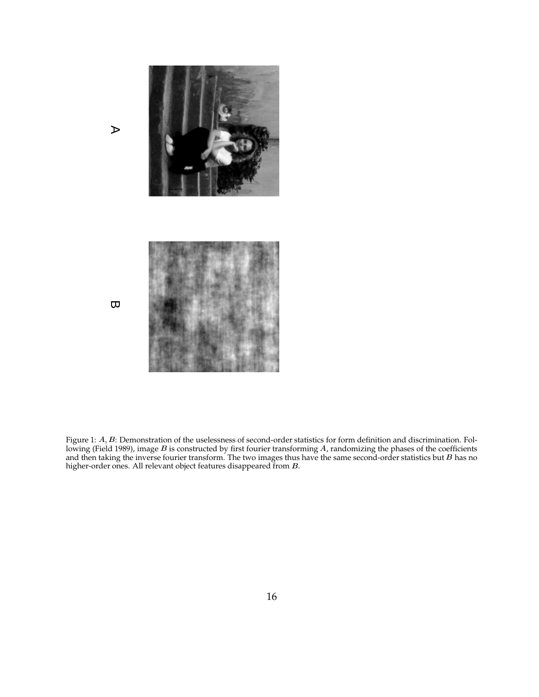

Figure 1:  $A, B$ : Demonstration of the uselessness of second-order statistics for form definition and discrimination. Following (Field 1989), image B is constructed by first fourier transforming A, randomizing the phases of the coefficients and then taking the inverse fourier transform. The two images thus have the same second-order statistics but  $B$  has no higher-order ones. All relevant object features disappeared from  $B$ .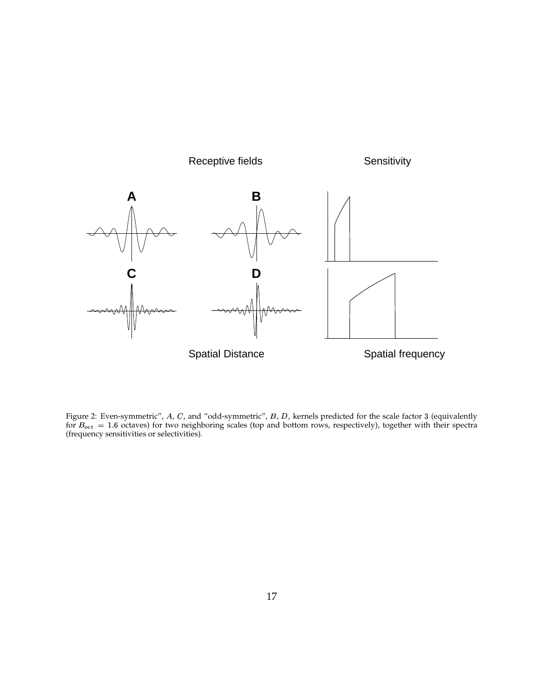

Figure 2: Even-symmetric", A, C, and "odd-symmetric", B, D, kernels predicted for the scale factor 3 (equivalently for  $B_{oct} = 1.6$  octaves) for two neighboring scales (top and bottom rows, respectively), together with their spectra (frequency sensitivities or selectivities).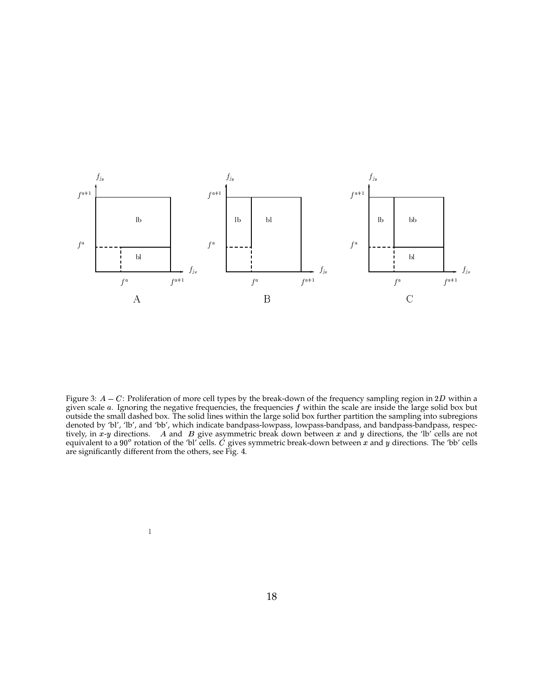

Figure 3:  $A - C$ : Proliferation of more cell types by the break-down of the frequency sampling region in 2D within a given scale a. Ignoring the negative frequencies, the frequencies  $f$  within the scale are inside the large solid box but outside the small dashed box. The solid lines within the large solid box further partition the sampling into subregions denoted by 'bl', 'lb', and 'bb', which indicate bandpass-lowpass, lowpass-bandpass, and bandpass-bandpass, respectively, in x-y directions. A and B give asymmetric break down between x and y directions, the 'lb' cells are not equivalent to a 90 $^{\circ}$  rotation of the 'bl' cells. C gives symmetric break-down between x and y directions. The 'bb' cells are significantly different from the others, see Fig. 4.

 $\,1\,$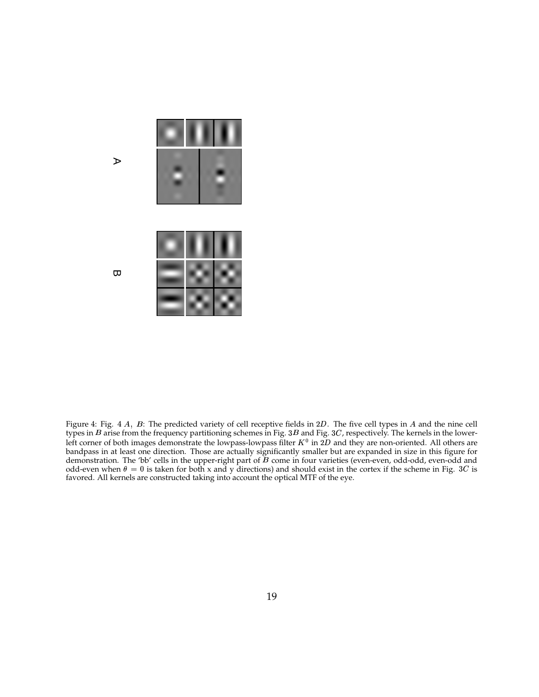

 $\triangleright$ 

 $\mathbf{\overline{\omega}}$ 

Figure 4: Fig. 4  $A$ ,  $B$ : The predicted variety of cell receptive fields in 2D. The five cell types in  $A$  and the nine cell types in B arise from the frequency partitioning schemes in Fig. 3B and Fig. 3C, respectively. The kernels in the lowerleft corner of both images demonstrate the lowpass-lowpass filter  $K^0$  in 2D and they are non-oriented. All others are bandpass in at least one direction. Those are actually significantly smaller but are expanded in size in this figure for demonstration. The 'bb' cells in the upper-right part of  $B$  come in four varieties (even-even, odd-odd, even-odd and odd-even when  $\theta = 0$  is taken for both x and y directions) and should exist in the cortex if the scheme in Fig. 3C is favored. All kernels are constructed taking into account the optical MTF of the eye.